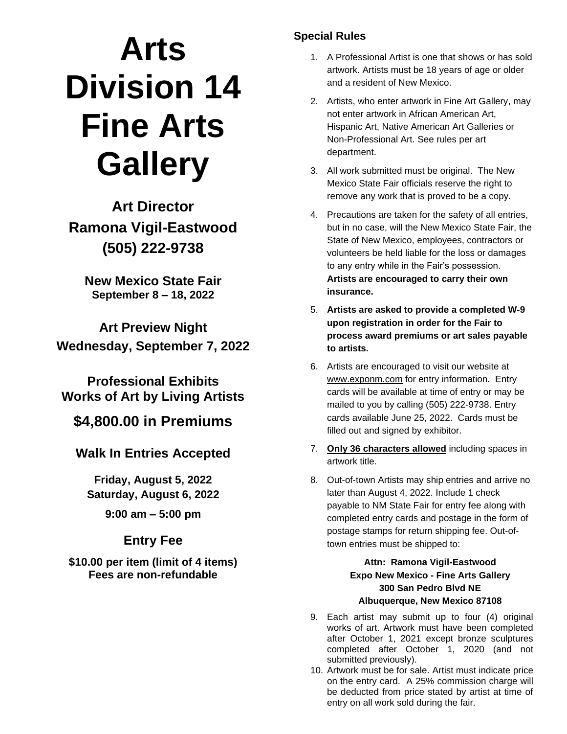# **Arts Division 14 Fine Arts Gallery**

**Art Director Ramona Vigil-Eastwood (505) 222-9738**

**New Mexico State Fair September 8 – 18, 2022**

**Art Preview Night Wednesday, September 7, 2022**

**Professional Exhibits Works of Art by Living Artists**

**\$4,800.00 in Premiums**

**Walk In Entries Accepted**

**Friday, August 5, 2022 Saturday, August 6, 2022**

**9:00 am – 5:00 pm**

### **Entry Fee**

**\$10.00 per item (limit of 4 items) Fees are non-refundable**

#### **Special Rules**

- 1. A Professional Artist is one that shows or has sold artwork. Artists must be 18 years of age or older and a resident of New Mexico.
- 2. Artists, who enter artwork in Fine Art Gallery, may not enter artwork in African American Art, Hispanic Art, Native American Art Galleries or Non-Professional Art. See rules per art department.
- 3. All work submitted must be original. The New Mexico State Fair officials reserve the right to remove any work that is proved to be a copy.
- 4. Precautions are taken for the safety of all entries, but in no case, will the New Mexico State Fair, the State of New Mexico, employees, contractors or volunteers be held liable for the loss or damages to any entry while in the Fair's possession. **Artists are encouraged to carry their own insurance.**
- 5. **Artists are asked to provide a completed W-9 upon registration in order for the Fair to process award premiums or art sales payable to artists.**
- 6. Artists are encouraged to visit our website at www.exponm.com for entry information. Entry cards will be available at time of entry or may be mailed to you by calling (505) 222-9738. Entry cards available June 25, 2022. Cards must be filled out and signed by exhibitor.
- 7. **Only 36 characters allowed** including spaces in artwork title.
- 8. Out-of-town Artists may ship entries and arrive no later than August 4, 2022. Include 1 check payable to NM State Fair for entry fee along with completed entry cards and postage in the form of postage stamps for return shipping fee. Out-oftown entries must be shipped to:

**Attn: Ramona Vigil-Eastwood Expo New Mexico - Fine Arts Gallery 300 San Pedro Blvd NE Albuquerque, New Mexico 87108**

- 9. Each artist may submit up to four (4) original works of art. Artwork must have been completed after October 1, 2021 except bronze sculptures completed after October 1, 2020 (and not submitted previously).
- 10. Artwork must be for sale. Artist must indicate price on the entry card. A 25% commission charge will be deducted from price stated by artist at time of entry on all work sold during the fair.